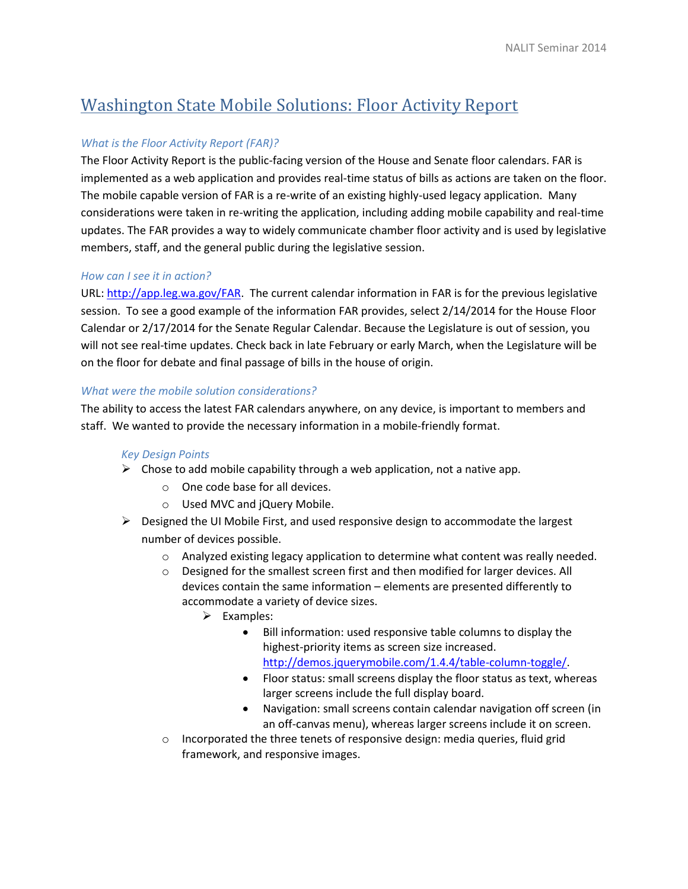# Washington State Mobile Solutions: Floor Activity Report

## *What is the Floor Activity Report (FAR)?*

The Floor Activity Report is the public-facing version of the House and Senate floor calendars. FAR is implemented as a web application and provides real-time status of bills as actions are taken on the floor. The mobile capable version of FAR is a re-write of an existing highly-used legacy application. Many considerations were taken in re-writing the application, including adding mobile capability and real-time updates. The FAR provides a way to widely communicate chamber floor activity and is used by legislative members, staff, and the general public during the legislative session.

## *How can I see it in action?*

URL: [http://app.leg.wa.gov/FAR.](http://app.leg.wa.gov/FAR) The current calendar information in FAR is for the previous legislative session. To see a good example of the information FAR provides, select 2/14/2014 for the House Floor Calendar or 2/17/2014 for the Senate Regular Calendar. Because the Legislature is out of session, you will not see real-time updates. Check back in late February or early March, when the Legislature will be on the floor for debate and final passage of bills in the house of origin.

## *What were the mobile solution considerations?*

The ability to access the latest FAR calendars anywhere, on any device, is important to members and staff. We wanted to provide the necessary information in a mobile-friendly format.

#### *Key Design Points*

- $\triangleright$  Chose to add mobile capability through a web application, not a native app.
	- o One code base for all devices.
	- o Used MVC and jQuery Mobile.
- $\triangleright$  Designed the UI Mobile First, and used responsive design to accommodate the largest number of devices possible.
	- $\circ$  Analyzed existing legacy application to determine what content was really needed.
	- $\circ$  Designed for the smallest screen first and then modified for larger devices. All devices contain the same information – elements are presented differently to accommodate a variety of device sizes.
		- $\triangleright$  Examples:
			- Bill information: used responsive table columns to display the highest-priority items as screen size increased. [http://demos.jquerymobile.com/1.4.4/table-column-toggle/.](http://demos.jquerymobile.com/1.4.4/table-column-toggle/)
			- Floor status: small screens display the floor status as text, whereas larger screens include the full display board.
			- Navigation: small screens contain calendar navigation off screen (in an off-canvas menu), whereas larger screens include it on screen.
	- o Incorporated the three tenets of responsive design: media queries, fluid grid framework, and responsive images.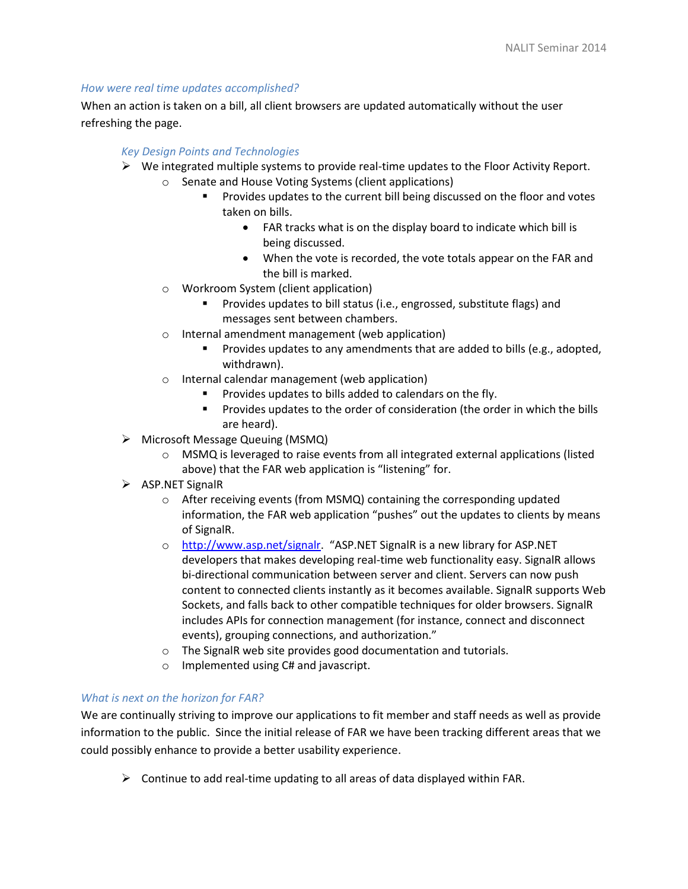## *How were real time updates accomplished?*

When an action is taken on a bill, all client browsers are updated automatically without the user refreshing the page.

# *Key Design Points and Technologies*

- $\triangleright$  We integrated multiple systems to provide real-time updates to the Floor Activity Report.
	- o Senate and House Voting Systems (client applications)
		- **Provides updates to the current bill being discussed on the floor and votes** taken on bills.
			- FAR tracks what is on the display board to indicate which bill is being discussed.
			- When the vote is recorded, the vote totals appear on the FAR and the bill is marked.
	- o Workroom System (client application)
		- **Provides updates to bill status (i.e., engrossed, substitute flags) and** messages sent between chambers.
	- o Internal amendment management (web application)
		- **Provides updates to any amendments that are added to bills (e.g., adopted,** withdrawn).
	- o Internal calendar management (web application)
		- **Provides updates to bills added to calendars on the fly.**
		- **Provides updates to the order of consideration (the order in which the bills** are heard).
- Microsoft Message Queuing (MSMQ)
	- o MSMQ is leveraged to raise events from all integrated external applications (listed above) that the FAR web application is "listening" for.
- $\triangleright$  ASP.NET SignalR
	- o After receiving events (from MSMQ) containing the corresponding updated information, the FAR web application "pushes" out the updates to clients by means of SignalR.
	- o [http://www.asp.net/signalr.](http://www.asp.net/signalr) "ASP.NET SignalR is a new library for ASP.NET developers that makes developing real-time web functionality easy. SignalR allows bi-directional communication between server and client. Servers can now push content to connected clients instantly as it becomes available. SignalR supports Web Sockets, and falls back to other compatible techniques for older browsers. SignalR includes APIs for connection management (for instance, connect and disconnect events), grouping connections, and authorization."
	- o The SignalR web site provides good documentation and tutorials.
	- o Implemented using C# and javascript.

# *What is next on the horizon for FAR?*

We are continually striving to improve our applications to fit member and staff needs as well as provide information to the public. Since the initial release of FAR we have been tracking different areas that we could possibly enhance to provide a better usability experience.

 $\triangleright$  Continue to add real-time updating to all areas of data displayed within FAR.